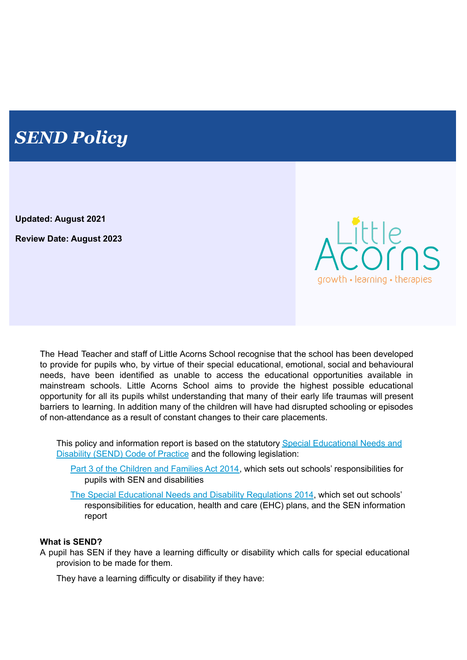# *SEND Policy*

**Updated: August 2021**

**Review Date: August 2023**



The Head Teacher and staff of Little Acorns School recognise that the school has been developed to provide for pupils who, by virtue of their special educational, emotional, social and behavioural needs, have been identified as unable to access the educational opportunities available in mainstream schools. Little Acorns School aims to provide the highest possible educational opportunity for all its pupils whilst understanding that many of their early life traumas will present barriers to learning. In addition many of the children will have had disrupted schooling or episodes of non-attendance as a result of constant changes to their care placements.

This policy and information report is based on the statutory Special [Educational](https://www.gov.uk/government/uploads/system/uploads/attachment_data/file/398815/SEND_Code_of_Practice_January_2015.pdf) Needs and [Disability](https://www.gov.uk/government/uploads/system/uploads/attachment_data/file/398815/SEND_Code_of_Practice_January_2015.pdf) (SEND) Code of Practice and the following legislation:

Part 3 of the [Children](http://www.legislation.gov.uk/ukpga/2014/6/part/3) and Families Act 2014, which sets out schools' responsibilities for pupils with SEN and disabilities

The Special Educational Needs and Disability [Regulations](http://www.legislation.gov.uk/uksi/2014/1530/contents/made) 2014, which set out schools' responsibilities for education, health and care (EHC) plans, and the SEN information report

### **What is SEND?**

A pupil has SEN if they have a learning difficulty or disability which calls for special educational provision to be made for them.

They have a learning difficulty or disability if they have: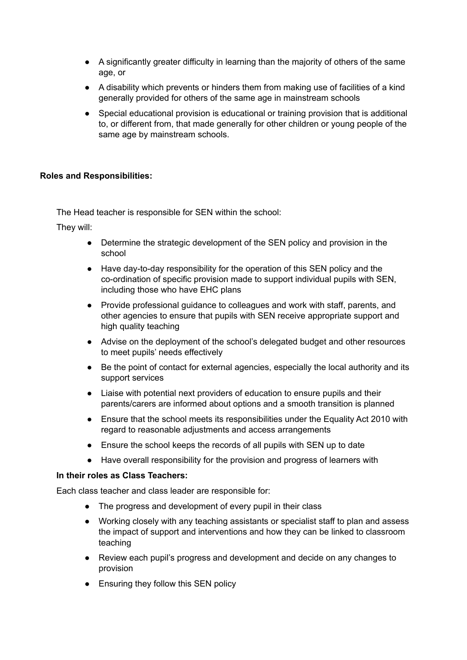- A significantly greater difficulty in learning than the majority of others of the same age, or
- A disability which prevents or hinders them from making use of facilities of a kind generally provided for others of the same age in mainstream schools
- Special educational provision is educational or training provision that is additional to, or different from, that made generally for other children or young people of the same age by mainstream schools.

## **Roles and Responsibilities:**

The Head teacher is responsible for SEN within the school:

They will:

- Determine the strategic development of the SEN policy and provision in the school
- Have day-to-day responsibility for the operation of this SEN policy and the co-ordination of specific provision made to support individual pupils with SEN, including those who have EHC plans
- Provide professional guidance to colleagues and work with staff, parents, and other agencies to ensure that pupils with SEN receive appropriate support and high quality teaching
- Advise on the deployment of the school's delegated budget and other resources to meet pupils' needs effectively
- Be the point of contact for external agencies, especially the local authority and its support services
- Liaise with potential next providers of education to ensure pupils and their parents/carers are informed about options and a smooth transition is planned
- Ensure that the school meets its responsibilities under the Equality Act 2010 with regard to reasonable adjustments and access arrangements
- Ensure the school keeps the records of all pupils with SEN up to date
- Have overall responsibility for the provision and progress of learners with

### **In their roles as Class Teachers:**

Each class teacher and class leader are responsible for:

- The progress and development of every pupil in their class
- Working closely with any teaching assistants or specialist staff to plan and assess the impact of support and interventions and how they can be linked to classroom teaching
- Review each pupil's progress and development and decide on any changes to provision
- Ensuring they follow this SEN policy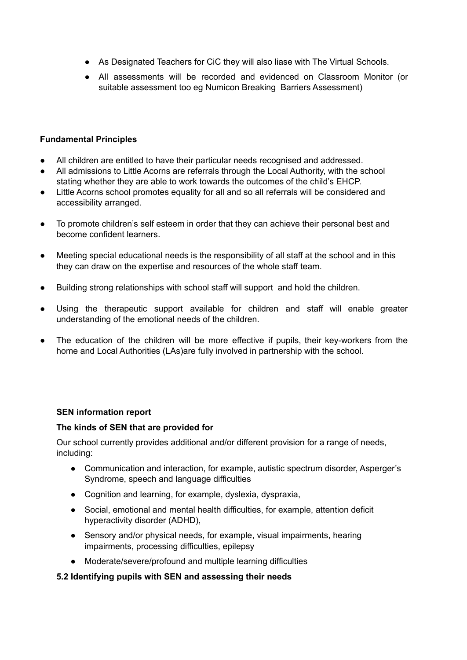- As Designated Teachers for CiC they will also liase with The Virtual Schools.
- All assessments will be recorded and evidenced on Classroom Monitor (or suitable assessment too eg Numicon Breaking Barriers Assessment)

## **Fundamental Principles**

- All children are entitled to have their particular needs recognised and addressed.
- All admissions to Little Acorns are referrals through the Local Authority, with the school stating whether they are able to work towards the outcomes of the child's EHCP.
- Little Acorns school promotes equality for all and so all referrals will be considered and accessibility arranged.
- To promote children's self esteem in order that they can achieve their personal best and become confident learners.
- Meeting special educational needs is the responsibility of all staff at the school and in this they can draw on the expertise and resources of the whole staff team.
- Building strong relationships with school staff will support and hold the children.
- Using the therapeutic support available for children and staff will enable greater understanding of the emotional needs of the children.
- The education of the children will be more effective if pupils, their key-workers from the home and Local Authorities (LAs)are fully involved in partnership with the school.

### **SEN information report**

### **The kinds of SEN that are provided for**

Our school currently provides additional and/or different provision for a range of needs, including:

- Communication and interaction, for example, autistic spectrum disorder, Asperger's Syndrome, speech and language difficulties
- Cognition and learning, for example, dyslexia, dyspraxia,
- Social, emotional and mental health difficulties, for example, attention deficit hyperactivity disorder (ADHD),
- Sensory and/or physical needs, for example, visual impairments, hearing impairments, processing difficulties, epilepsy
- Moderate/severe/profound and multiple learning difficulties

### **5.2 Identifying pupils with SEN and assessing their needs**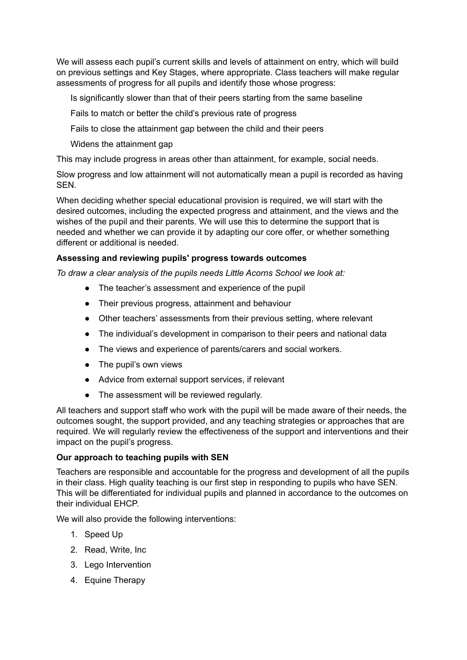We will assess each pupil's current skills and levels of attainment on entry, which will build on previous settings and Key Stages, where appropriate. Class teachers will make regular assessments of progress for all pupils and identify those whose progress:

Is significantly slower than that of their peers starting from the same baseline

Fails to match or better the child's previous rate of progress

Fails to close the attainment gap between the child and their peers

Widens the attainment gap

This may include progress in areas other than attainment, for example, social needs.

Slow progress and low attainment will not automatically mean a pupil is recorded as having SEN.

When deciding whether special educational provision is required, we will start with the desired outcomes, including the expected progress and attainment, and the views and the wishes of the pupil and their parents. We will use this to determine the support that is needed and whether we can provide it by adapting our core offer, or whether something different or additional is needed.

## **Assessing and reviewing pupils' progress towards outcomes**

*To draw a clear analysis of the pupils needs Little Acorns School we look at:*

- The teacher's assessment and experience of the pupil
- Their previous progress, attainment and behaviour
- Other teachers' assessments from their previous setting, where relevant
- The individual's development in comparison to their peers and national data
- The views and experience of parents/carers and social workers.
- The pupil's own views
- Advice from external support services, if relevant
- The assessment will be reviewed regularly.

All teachers and support staff who work with the pupil will be made aware of their needs, the outcomes sought, the support provided, and any teaching strategies or approaches that are required. We will regularly review the effectiveness of the support and interventions and their impact on the pupil's progress.

### **Our approach to teaching pupils with SEN**

Teachers are responsible and accountable for the progress and development of all the pupils in their class. High quality teaching is our first step in responding to pupils who have SEN. This will be differentiated for individual pupils and planned in accordance to the outcomes on their individual EHCP.

We will also provide the following interventions:

- 1. Speed Up
- 2. Read, Write, Inc
- 3. Lego Intervention
- 4. Equine Therapy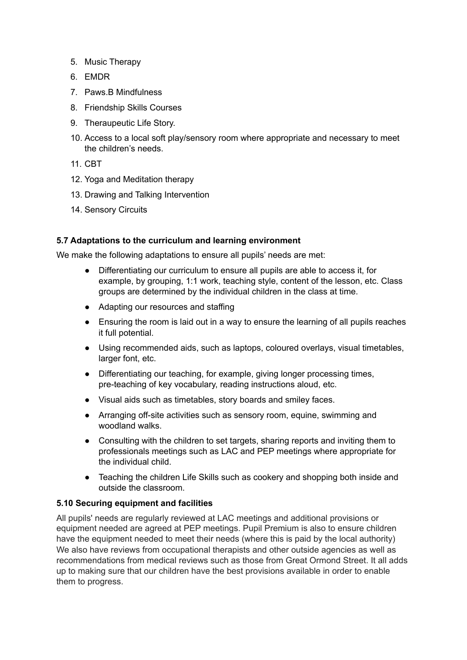- 5. Music Therapy
- 6. EMDR
- 7. Paws.B Mindfulness
- 8. Friendship Skills Courses
- 9. Theraupeutic Life Story.
- 10. Access to a local soft play/sensory room where appropriate and necessary to meet the children's needs.
- 11. CBT
- 12. Yoga and Meditation therapy
- 13. Drawing and Talking Intervention
- 14. Sensory Circuits

## **5.7 Adaptations to the curriculum and learning environment**

We make the following adaptations to ensure all pupils' needs are met:

- Differentiating our curriculum to ensure all pupils are able to access it, for example, by grouping, 1:1 work, teaching style, content of the lesson, etc. Class groups are determined by the individual children in the class at time.
- Adapting our resources and staffing
- Ensuring the room is laid out in a way to ensure the learning of all pupils reaches it full potential.
- Using recommended aids, such as laptops, coloured overlays, visual timetables, larger font, etc.
- Differentiating our teaching, for example, giving longer processing times, pre-teaching of key vocabulary, reading instructions aloud, etc.
- Visual aids such as timetables, story boards and smiley faces.
- Arranging off-site activities such as sensory room, equine, swimming and woodland walks.
- Consulting with the children to set targets, sharing reports and inviting them to professionals meetings such as LAC and PEP meetings where appropriate for the individual child.
- Teaching the children Life Skills such as cookery and shopping both inside and outside the classroom.

# **5.10 Securing equipment and facilities**

All pupils' needs are regularly reviewed at LAC meetings and additional provisions or equipment needed are agreed at PEP meetings. Pupil Premium is also to ensure children have the equipment needed to meet their needs (where this is paid by the local authority) We also have reviews from occupational therapists and other outside agencies as well as recommendations from medical reviews such as those from Great Ormond Street. It all adds up to making sure that our children have the best provisions available in order to enable them to progress.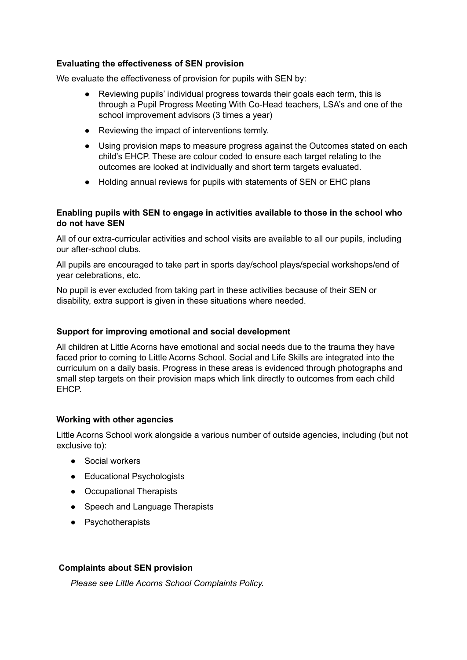## **Evaluating the effectiveness of SEN provision**

We evaluate the effectiveness of provision for pupils with SEN by:

- Reviewing pupils' individual progress towards their goals each term, this is through a Pupil Progress Meeting With Co-Head teachers, LSA's and one of the school improvement advisors (3 times a year)
- Reviewing the impact of interventions termly.
- Using provision maps to measure progress against the Outcomes stated on each child's EHCP. These are colour coded to ensure each target relating to the outcomes are looked at individually and short term targets evaluated.
- Holding annual reviews for pupils with statements of SEN or EHC plans

## **Enabling pupils with SEN to engage in activities available to those in the school who do not have SEN**

All of our extra-curricular activities and school visits are available to all our pupils, including our after-school clubs.

All pupils are encouraged to take part in sports day/school plays/special workshops/end of year celebrations, etc.

No pupil is ever excluded from taking part in these activities because of their SEN or disability, extra support is given in these situations where needed.

### **Support for improving emotional and social development**

All children at Little Acorns have emotional and social needs due to the trauma they have faced prior to coming to Little Acorns School. Social and Life Skills are integrated into the curriculum on a daily basis. Progress in these areas is evidenced through photographs and small step targets on their provision maps which link directly to outcomes from each child EHCP.

# **Working with other agencies**

Little Acorns School work alongside a various number of outside agencies, including (but not exclusive to):

- Social workers
- Educational Psychologists
- Occupational Therapists
- Speech and Language Therapists
- Psychotherapists

### **Complaints about SEN provision**

*Please see Little Acorns School Complaints Policy.*